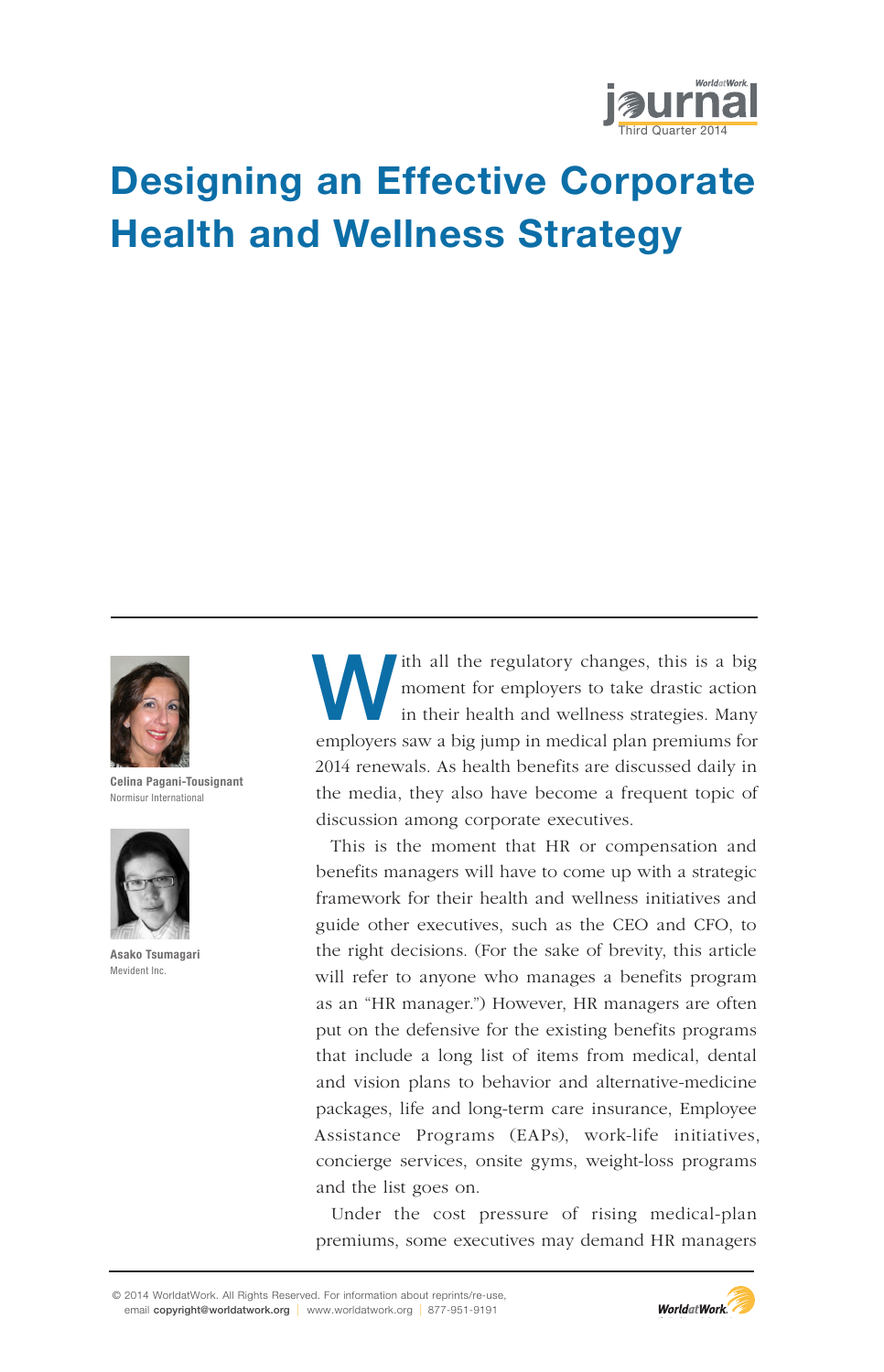

# Designing an Effective Corporate Health and Wellness Strategy



Celina Pagani-Tousignant Normisur International



Asako Tsumagari Mevident Inc.

Ith all the regulatory changes, this is a big moment for employers to take drastic action in their health and wellness strategies. Many moment for employers to take drastic action employers saw a big jump in medical plan premiums for 2014 renewals. As health benefits are discussed daily in the media, they also have become a frequent topic of discussion among corporate executives.

This is the moment that HR or compensation and benefits managers will have to come up with a strategic framework for their health and wellness initiatives and guide other executives, such as the CEO and CFO, to the right decisions. (For the sake of brevity, this article will refer to anyone who manages a benefits program as an "HR manager.") However, HR managers are often put on the defensive for the existing benefits programs that include a long list of items from medical, dental and vision plans to behavior and alternative-medicine packages, life and long-term care insurance, Employee Assistance Programs (EAPs), work-life initiatives, concierge services, onsite gyms, weight-loss programs and the list goes on.

Under the cost pressure of rising medical-plan premiums, some executives may demand HR managers

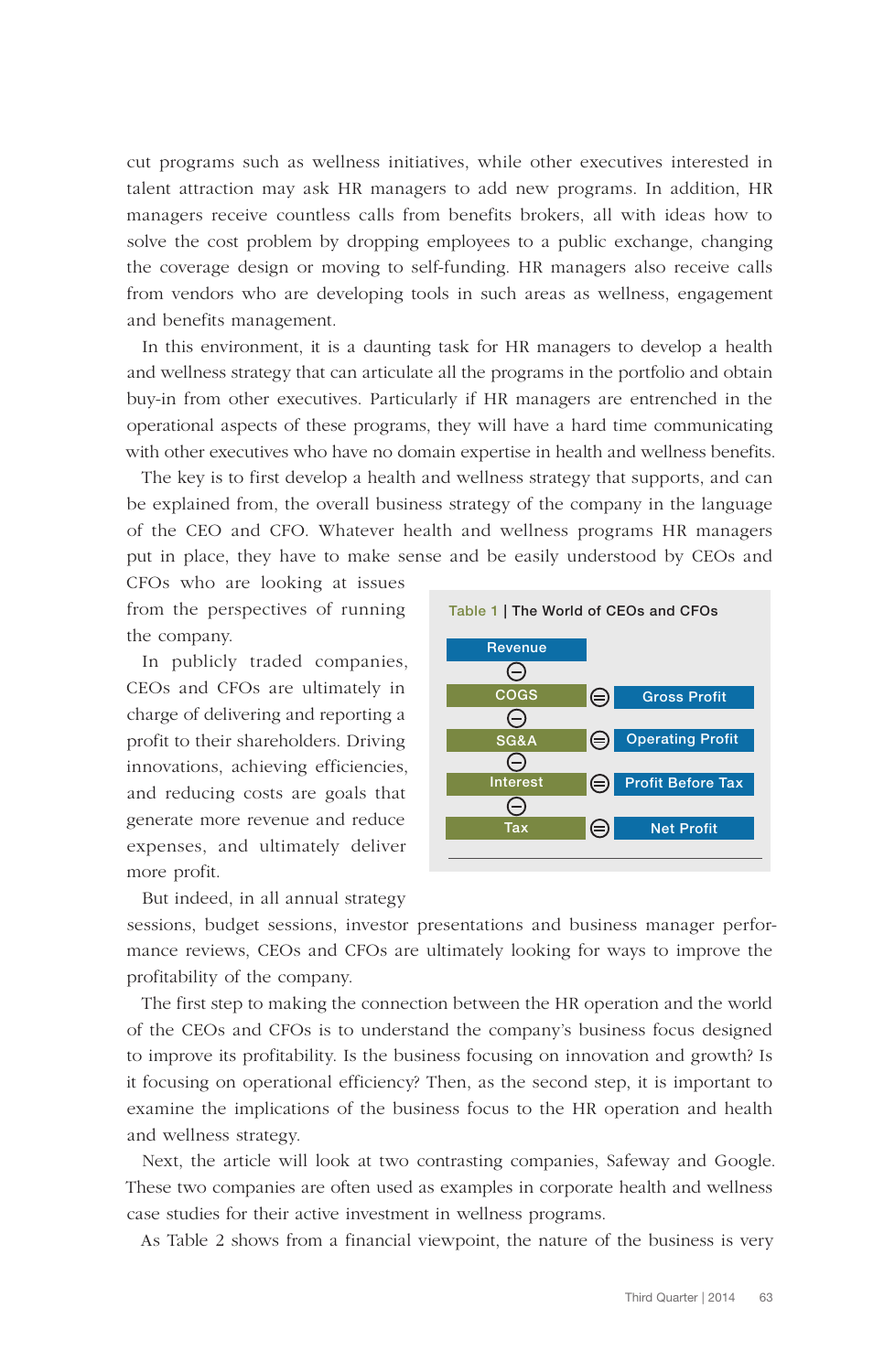cut programs such as wellness initiatives, while other executives interested in talent attraction may ask HR managers to add new programs. In addition, HR managers receive countless calls from benefits brokers, all with ideas how to solve the cost problem by dropping employees to a public exchange, changing the coverage design or moving to self-funding. HR managers also receive calls from vendors who are developing tools in such areas as wellness, engagement and benefits management.

In this environment, it is a daunting task for HR managers to develop a health and wellness strategy that can articulate all the programs in the portfolio and obtain buy-in from other executives. Particularly if HR managers are entrenched in the operational aspects of these programs, they will have a hard time communicating with other executives who have no domain expertise in health and wellness benefits.

The key is to first develop a health and wellness strategy that supports, and can be explained from, the overall business strategy of the company in the language of the CEO and CFO. Whatever health and wellness programs HR managers put in place, they have to make sense and be easily understood by CEOs and

CFOs who are looking at issues from the perspectives of running the company.

In publicly traded companies, CEOs and CFOs are ultimately in charge of delivering and reporting a profit to their shareholders. Driving innovations, achieving efficiencies, and reducing costs are goals that generate more revenue and reduce expenses, and ultimately deliver more profit.

But indeed, in all annual strategy



sessions, budget sessions, investor presentations and business manager performance reviews, CEOs and CFOs are ultimately looking for ways to improve the profitability of the company.

The first step to making the connection between the HR operation and the world of the CEOs and CFOs is to understand the company's business focus designed to improve its profitability. Is the business focusing on innovation and growth? Is it focusing on operational efficiency? Then, as the second step, it is important to examine the implications of the business focus to the HR operation and health and wellness strategy.

Next, the article will look at two contrasting companies, Safeway and Google. These two companies are often used as examples in corporate health and wellness case studies for their active investment in wellness programs.

As Table 2 shows from a financial viewpoint, the nature of the business is very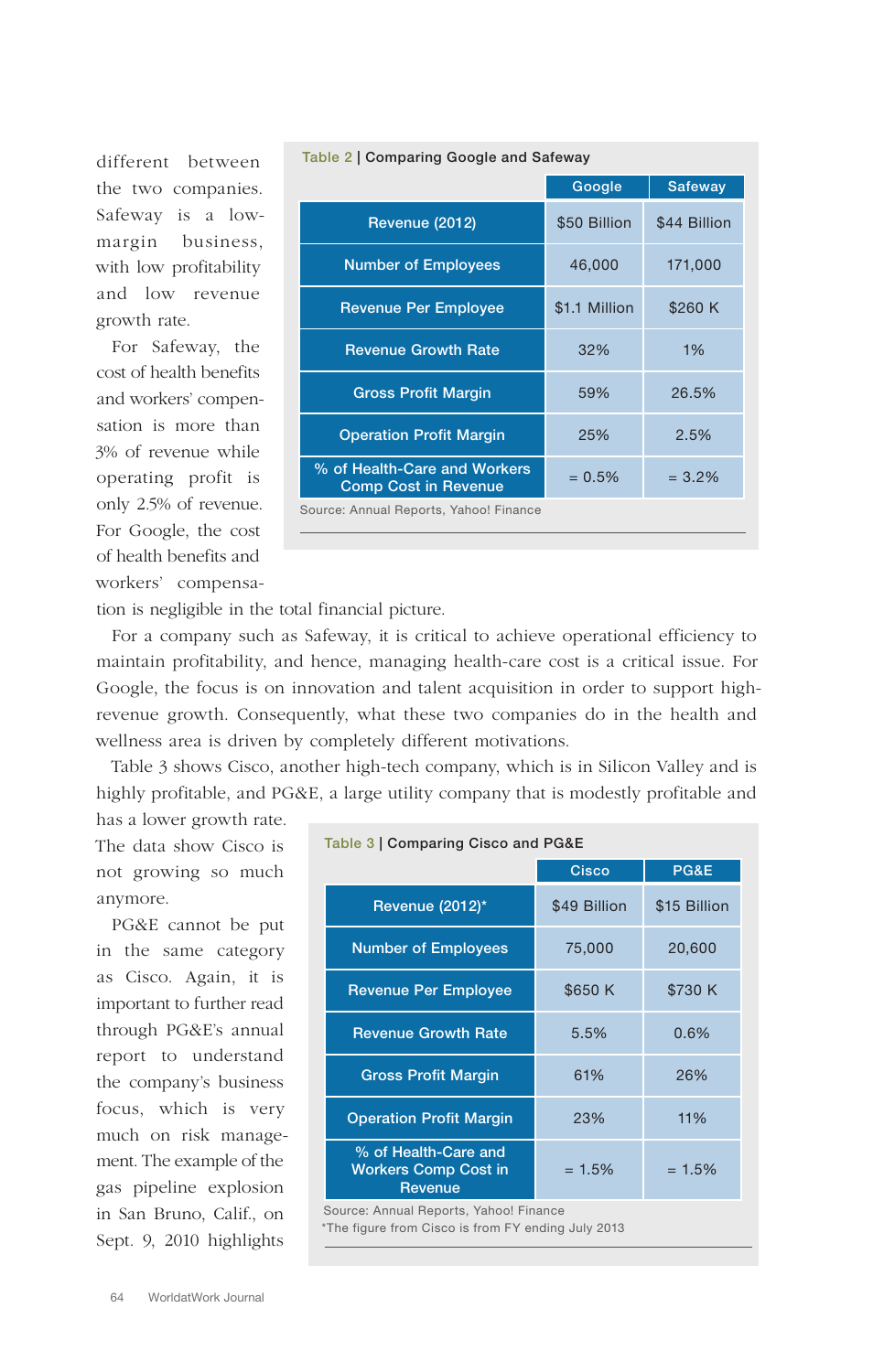|                                                             | Google        | <b>Safeway</b> |
|-------------------------------------------------------------|---------------|----------------|
| Revenue (2012)                                              | \$50 Billion  | \$44 Billion   |
| <b>Number of Employees</b>                                  | 46,000        | 171,000        |
| <b>Revenue Per Employee</b>                                 | \$1.1 Million | \$260 K        |
| <b>Revenue Growth Rate</b>                                  | 32%           | 1%             |
| <b>Gross Profit Margin</b>                                  | 59%           | 26.5%          |
| <b>Operation Profit Margin</b>                              | 25%           | 2.5%           |
| % of Health-Care and Workers<br><b>Comp Cost in Revenue</b> | $= 0.5\%$     | $= 3.2\%$      |
| Source: Annual Reports, Yahoo! Finance                      |               |                |

#### Table 2 | Comparing Google and Safeway

tion is negligible in the total financial picture.

For a company such as Safeway, it is critical to achieve operational efficiency to maintain profitability, and hence, managing health-care cost is a critical issue. For Google, the focus is on innovation and talent acquisition in order to support highrevenue growth. Consequently, what these two companies do in the health and wellness area is driven by completely different motivations.

Table 3 shows Cisco, another high-tech company, which is in Silicon Valley and is highly profitable, and PG&E, a large utility company that is modestly profitable and has a lower growth rate.

The data show Cisco is not growing so much anymore.

different between the two companies. Safeway is a lowmargin business, with low profitability and low revenue

For Safeway, the cost of health benefits and workers' compensation is more than 3% of revenue while operating profit is only 2.5% of revenue. For Google, the cost of health benefits and workers' compensa-

growth rate.

PG&E cannot be put in the same category as Cisco. Again, it is important to further read through PG&E's annual report to understand the company's business focus, which is very much on risk management. The example of the gas pipeline explosion in San Bruno, Calif., on Sept. 9, 2010 highlights

| Table 3   Comparing Cisco and PG&E                                                           |              |              |
|----------------------------------------------------------------------------------------------|--------------|--------------|
|                                                                                              | Cisco        | PG&E         |
| Revenue (2012)*                                                                              | \$49 Billion | \$15 Billion |
| <b>Number of Employees</b>                                                                   | 75,000       | 20,600       |
| <b>Revenue Per Employee</b>                                                                  | \$650K       | \$730 K      |
| <b>Revenue Growth Rate</b>                                                                   | 5.5%         | 0.6%         |
| <b>Gross Profit Margin</b>                                                                   | 61%          | 26%          |
| <b>Operation Profit Margin</b>                                                               | 23%          | 11%          |
| % of Health-Care and<br><b>Workers Comp Cost in</b><br>Revenue                               | $= 1.5%$     | $= 1.5%$     |
| Source: Annual Reports, Yahoo! Finance<br>*The figure from Cisco is from FY ending July 2013 |              |              |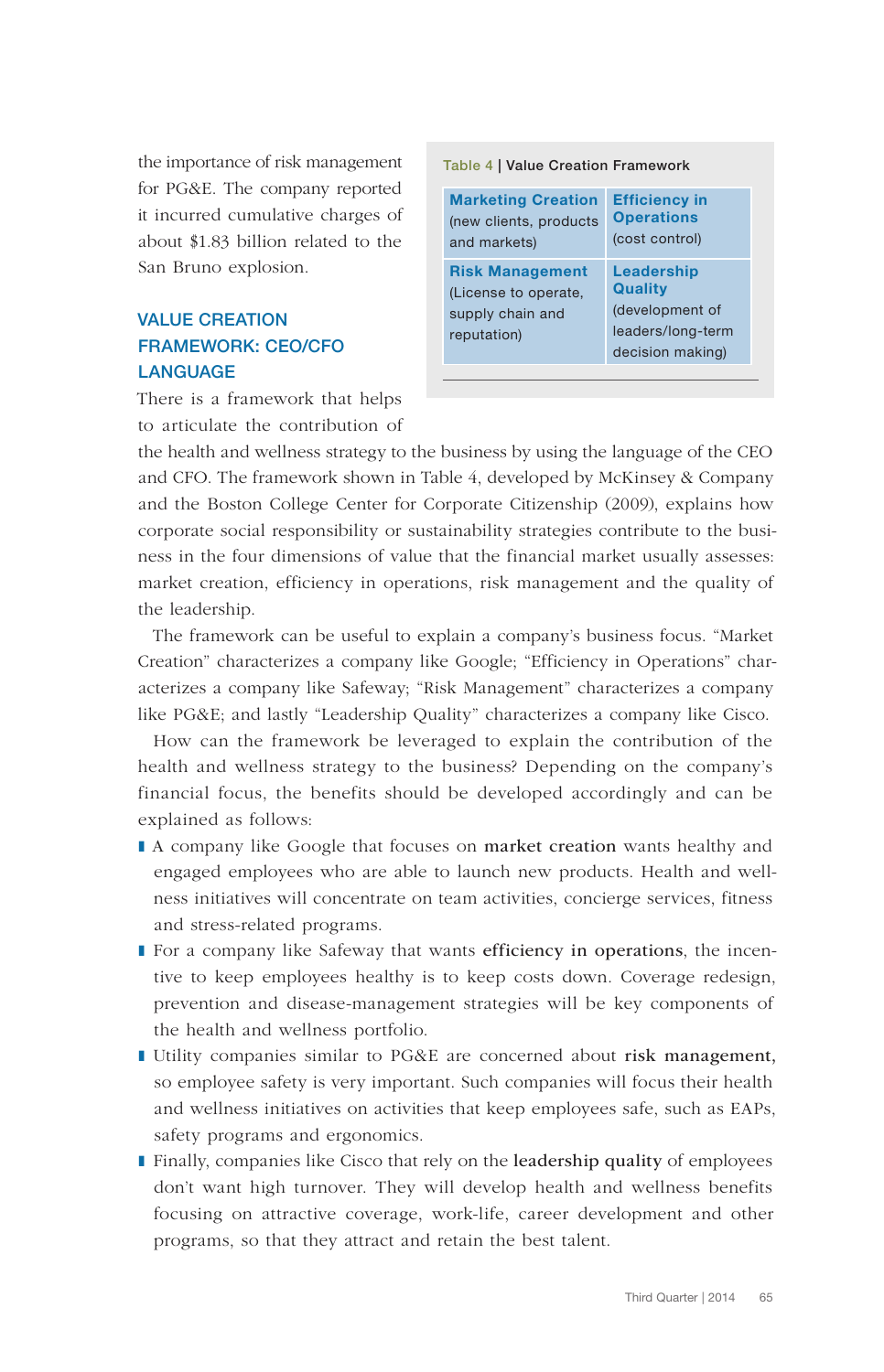the importance of risk management for PG&E. The company reported it incurred cumulative charges of about \$1.83 billion related to the San Bruno explosion.

# VALUE CREATION FRAMEWORK: CEO/CFO **LANGUAGE**

There is a framework that helps to articulate the contribution of

| <b>Table 4   Value Creation Framework</b>                                         |                                                                                          |  |
|-----------------------------------------------------------------------------------|------------------------------------------------------------------------------------------|--|
| <b>Marketing Creation</b><br>(new clients, products<br>and markets)               | <b>Efficiency in</b><br><b>Operations</b><br>(cost control)                              |  |
| <b>Risk Management</b><br>(License to operate,<br>supply chain and<br>reputation) | Leadership<br><b>Quality</b><br>(development of<br>leaders/long-term<br>decision making) |  |

the health and wellness strategy to the business by using the language of the CEO and CFO. The framework shown in Table 4, developed by McKinsey & Company and the Boston College Center for Corporate Citizenship (2009), explains how corporate social responsibility or sustainability strategies contribute to the business in the four dimensions of value that the financial market usually assesses: market creation, efficiency in operations, risk management and the quality of the leadership.

The framework can be useful to explain a company's business focus. "Market Creation" characterizes a company like Google; "Efficiency in Operations" characterizes a company like Safeway; "Risk Management" characterizes a company like PG&E; and lastly "Leadership Quality" characterizes a company like Cisco.

How can the framework be leveraged to explain the contribution of the health and wellness strategy to the business? Depending on the company's financial focus, the benefits should be developed accordingly and can be explained as follows:

- A company like Google that focuses on market creation wants healthy and engaged employees who are able to launch new products. Health and wellness initiatives will concentrate on team activities, concierge services, fitness and stress-related programs.
- For a company like Safeway that wants efficiency in operations, the incentive to keep employees healthy is to keep costs down. Coverage redesign, prevention and disease-management strategies will be key components of the health and wellness portfolio.
- ❚ Utility companies similar to PG&E are concerned about risk management, so employee safety is very important. Such companies will focus their health and wellness initiatives on activities that keep employees safe, such as EAPs, safety programs and ergonomics.
- Finally, companies like Cisco that rely on the leadership quality of employees don't want high turnover. They will develop health and wellness benefits focusing on attractive coverage, work-life, career development and other programs, so that they attract and retain the best talent.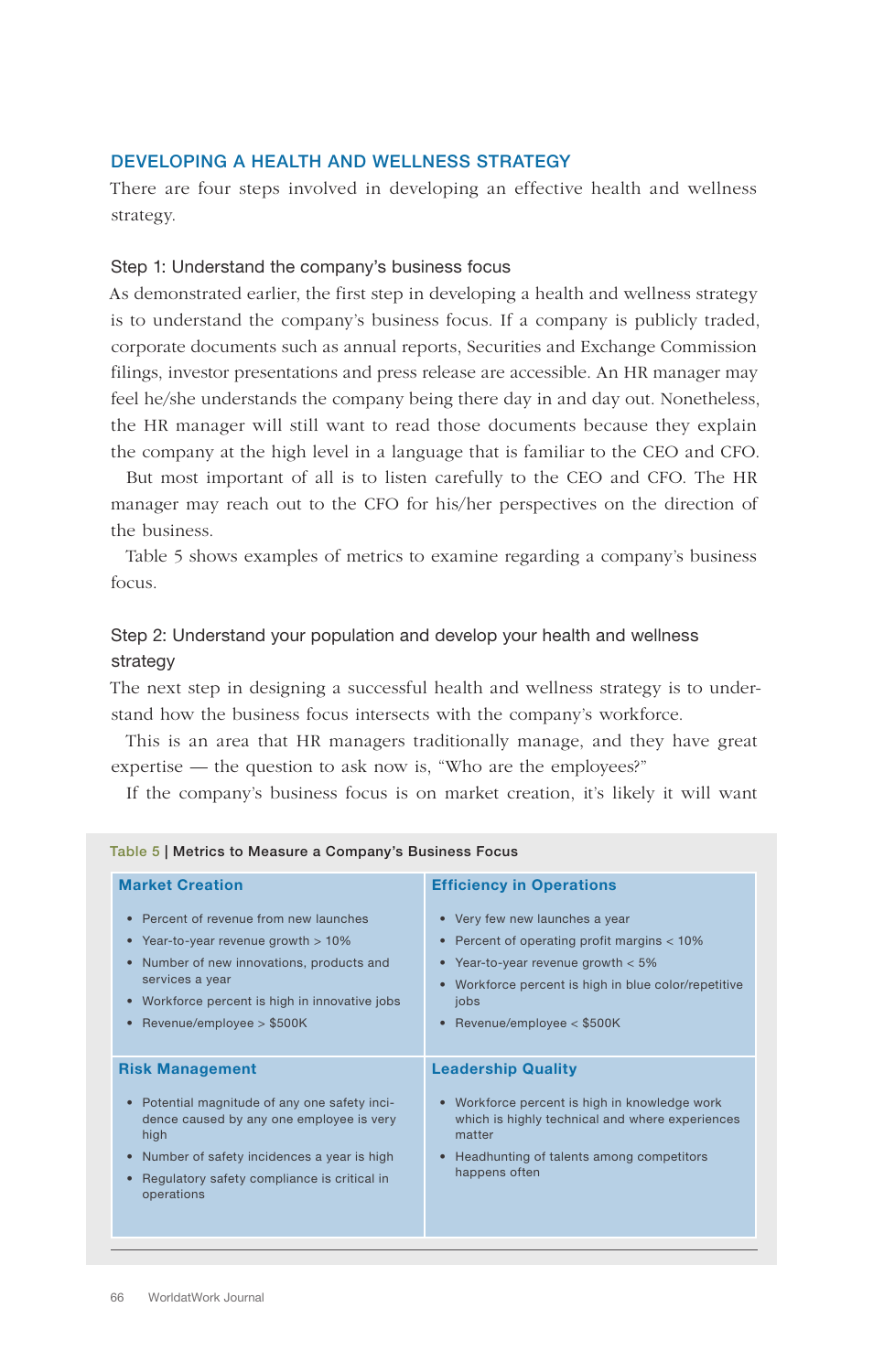## DEVELOPING A HEALTH AND WELLNESS STRATEGY

There are four steps involved in developing an effective health and wellness strategy.

#### Step 1: Understand the company's business focus

As demonstrated earlier, the first step in developing a health and wellness strategy is to understand the company's business focus. If a company is publicly traded, corporate documents such as annual reports, Securities and Exchange Commission filings, investor presentations and press release are accessible. An HR manager may feel he/she understands the company being there day in and day out. Nonetheless, the HR manager will still want to read those documents because they explain the company at the high level in a language that is familiar to the CEO and CFO.

But most important of all is to listen carefully to the CEO and CFO. The HR manager may reach out to the CFO for his/her perspectives on the direction of the business.

Table 5 shows examples of metrics to examine regarding a company's business focus.

# Step 2: Understand your population and develop your health and wellness strategy

The next step in designing a successful health and wellness strategy is to understand how the business focus intersects with the company's workforce.

This is an area that HR managers traditionally manage, and they have great expertise — the question to ask now is, "Who are the employees?"

If the company's business focus is on market creation, it's likely it will want

| Table 5   Metrics to Measure a Company's Business Focus                                                                                                                                                                                             |                                                                                                                                                                                                                                                          |  |
|-----------------------------------------------------------------------------------------------------------------------------------------------------------------------------------------------------------------------------------------------------|----------------------------------------------------------------------------------------------------------------------------------------------------------------------------------------------------------------------------------------------------------|--|
| <b>Market Creation</b>                                                                                                                                                                                                                              | <b>Efficiency in Operations</b>                                                                                                                                                                                                                          |  |
| Percent of revenue from new launches<br>• Year-to-year revenue growth > 10%<br>Number of new innovations, products and<br>$\bullet$<br>services a year<br>• Workforce percent is high in innovative jobs<br>Revenue/employee $> $500K$<br>$\bullet$ | • Very few new launches a year<br>Percent of operating profit margins < 10%<br>$\bullet$<br>• Year-to-year revenue growth $< 5\%$<br>Workforce percent is high in blue color/repetitive<br>$\bullet$<br>jobs<br>Revenue/employee $<$ \$500K<br>$\bullet$ |  |
| <b>Risk Management</b>                                                                                                                                                                                                                              | <b>Leadership Quality</b>                                                                                                                                                                                                                                |  |
| • Potential magnitude of any one safety inci-<br>dence caused by any one employee is very<br>high<br>• Number of safety incidences a year is high<br>Regulatory safety compliance is critical in<br>operations                                      | • Workforce percent is high in knowledge work<br>which is highly technical and where experiences<br>matter<br>Headhunting of talents among competitors<br>$\bullet$<br>happens often                                                                     |  |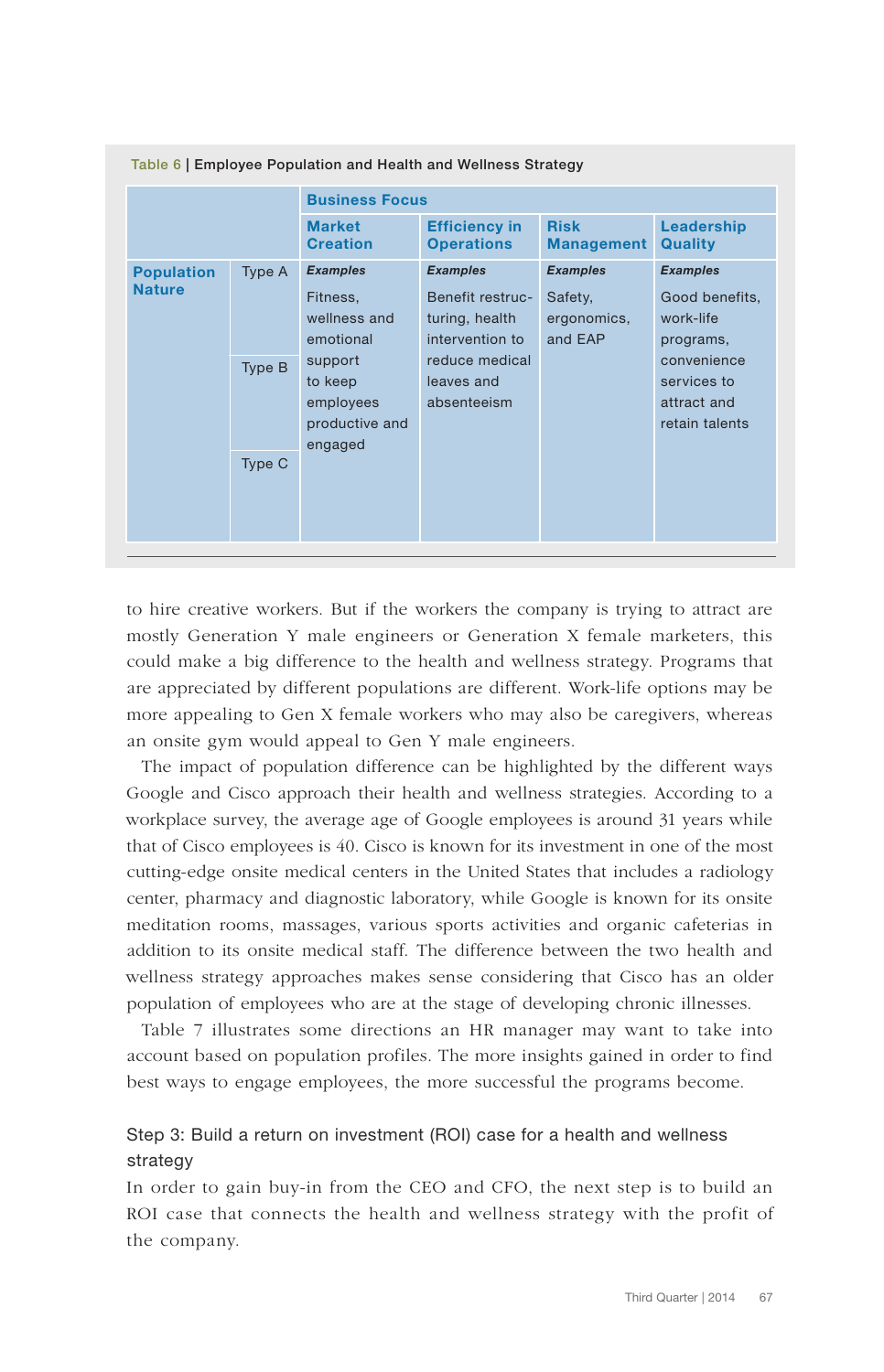| Table of Employee Population and Health and Wellness Strategy |                                       |                                                              |                                             |                                          |                                                             |
|---------------------------------------------------------------|---------------------------------------|--------------------------------------------------------------|---------------------------------------------|------------------------------------------|-------------------------------------------------------------|
|                                                               |                                       | <b>Business Focus</b>                                        |                                             |                                          |                                                             |
|                                                               |                                       | <b>Market</b><br><b>Creation</b>                             | <b>Efficiency in</b><br><b>Operations</b>   | <b>Risk</b><br><b>Management</b>         | Leadership<br><b>Quality</b>                                |
| <b>Population</b><br><b>Nature</b>                            | Type A                                | <b>Examples</b>                                              | <b>Examples</b><br>Benefit restruc-         | <b>Examples</b>                          | <b>Examples</b>                                             |
|                                                               | Fitness,<br>wellness and<br>emotional | turing, health<br>intervention to                            | Safety,<br>ergonomics,<br>and EAP           | Good benefits,<br>work-life<br>programs, |                                                             |
|                                                               | Type B                                | support<br>to keep<br>employees<br>productive and<br>engaged | reduce medical<br>leaves and<br>absenteeism |                                          | convenience<br>services to<br>attract and<br>retain talents |
| Type C                                                        |                                       |                                                              |                                             |                                          |                                                             |

Table 6 | Employee Population and Health and Wellness Strategy

to hire creative workers. But if the workers the company is trying to attract are mostly Generation Y male engineers or Generation X female marketers, this could make a big difference to the health and wellness strategy. Programs that are appreciated by different populations are different. Work-life options may be more appealing to Gen X female workers who may also be caregivers, whereas an onsite gym would appeal to Gen Y male engineers.

The impact of population difference can be highlighted by the different ways Google and Cisco approach their health and wellness strategies. According to a workplace survey, the average age of Google employees is around 31 years while that of Cisco employees is 40. Cisco is known for its investment in one of the most cutting-edge onsite medical centers in the United States that includes a radiology center, pharmacy and diagnostic laboratory, while Google is known for its onsite meditation rooms, massages, various sports activities and organic cafeterias in addition to its onsite medical staff. The difference between the two health and wellness strategy approaches makes sense considering that Cisco has an older population of employees who are at the stage of developing chronic illnesses.

Table 7 illustrates some directions an HR manager may want to take into account based on population profiles. The more insights gained in order to find best ways to engage employees, the more successful the programs become.

# Step 3: Build a return on investment (ROI) case for a health and wellness strategy

In order to gain buy-in from the CEO and CFO, the next step is to build an ROI case that connects the health and wellness strategy with the profit of the company.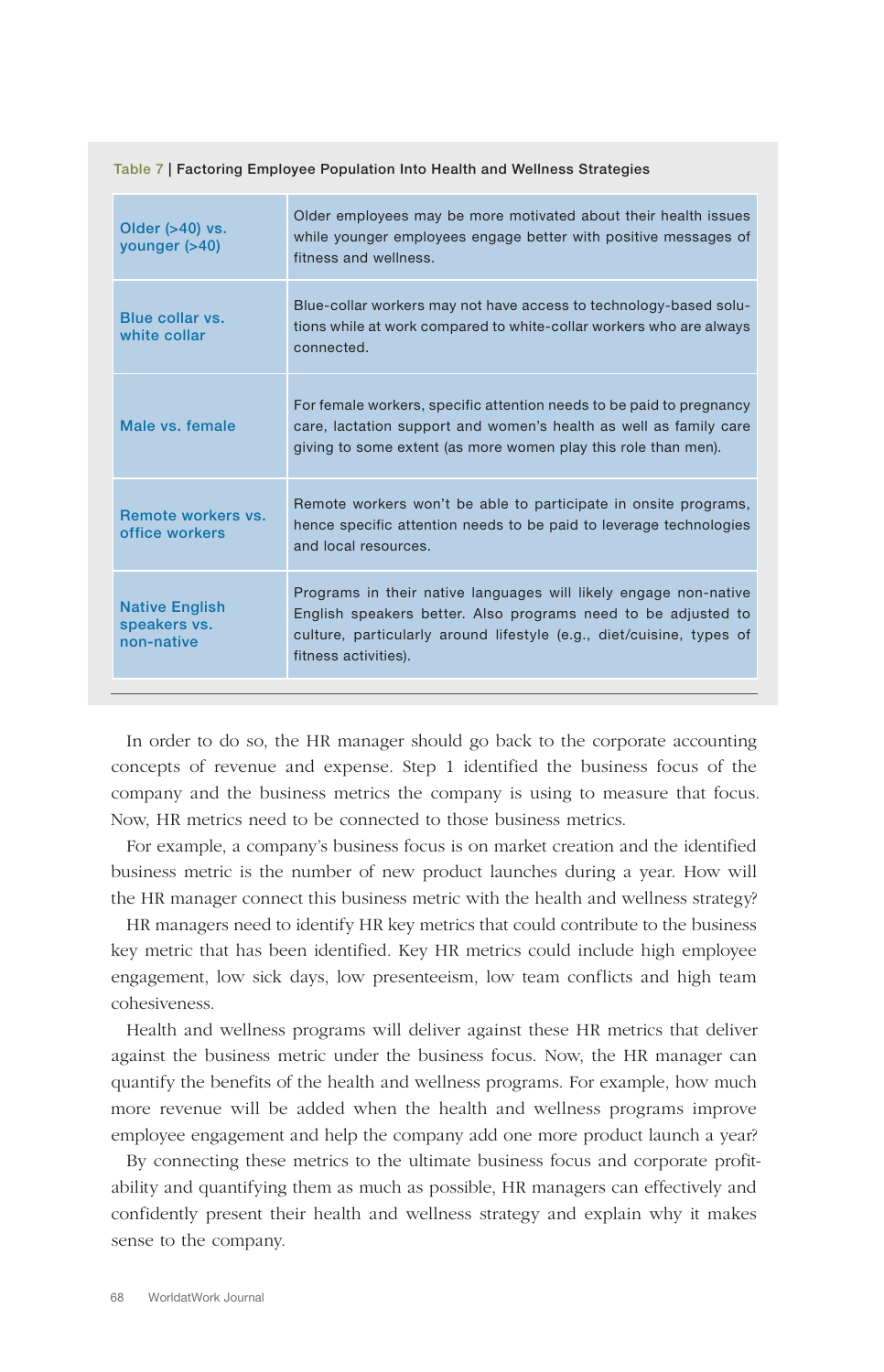| Older $($ >40) vs.<br>younger $($ >40)              | Older employees may be more motivated about their health issues<br>while younger employees engage better with positive messages of<br>fitness and wellness.                                                                       |
|-----------------------------------------------------|-----------------------------------------------------------------------------------------------------------------------------------------------------------------------------------------------------------------------------------|
| Blue collar vs.<br>white collar                     | Blue-collar workers may not have access to technology-based solu-<br>tions while at work compared to white-collar workers who are always<br>connected.                                                                            |
| Male vs. female                                     | For female workers, specific attention needs to be paid to pregnancy<br>care, lactation support and women's health as well as family care<br>giving to some extent (as more women play this role than men).                       |
| Remote workers vs.<br>office workers                | Remote workers won't be able to participate in onsite programs,<br>hence specific attention needs to be paid to leverage technologies<br>and local resources.                                                                     |
| <b>Native English</b><br>speakers vs.<br>non-native | Programs in their native languages will likely engage non-native<br>English speakers better. Also programs need to be adjusted to<br>culture, particularly around lifestyle (e.g., diet/cuisine, types of<br>fitness activities). |

Table 7 | Factoring Employee Population Into Health and Wellness Strategies

In order to do so, the HR manager should go back to the corporate accounting concepts of revenue and expense. Step 1 identified the business focus of the company and the business metrics the company is using to measure that focus. Now, HR metrics need to be connected to those business metrics.

For example, a company's business focus is on market creation and the identified business metric is the number of new product launches during a year. How will the HR manager connect this business metric with the health and wellness strategy?

HR managers need to identify HR key metrics that could contribute to the business key metric that has been identified. Key HR metrics could include high employee engagement, low sick days, low presenteeism, low team conflicts and high team cohesiveness.

Health and wellness programs will deliver against these HR metrics that deliver against the business metric under the business focus. Now, the HR manager can quantify the benefits of the health and wellness programs. For example, how much more revenue will be added when the health and wellness programs improve employee engagement and help the company add one more product launch a year?

By connecting these metrics to the ultimate business focus and corporate profitability and quantifying them as much as possible, HR managers can effectively and confidently present their health and wellness strategy and explain why it makes sense to the company.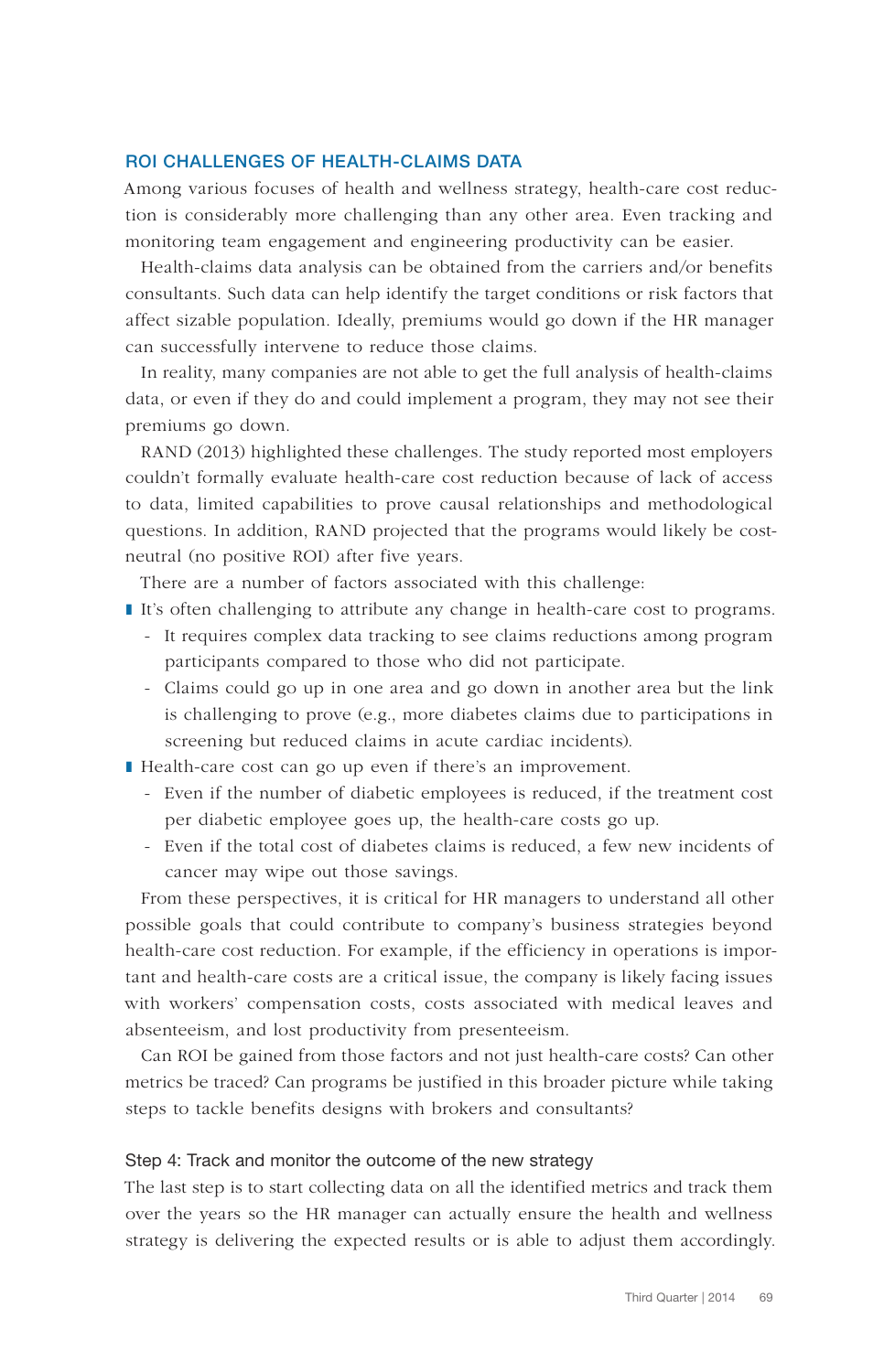## ROI CHALLENGES OF HEALTH-CLAIMS DATA

Among various focuses of health and wellness strategy, health-care cost reduction is considerably more challenging than any other area. Even tracking and monitoring team engagement and engineering productivity can be easier.

Health-claims data analysis can be obtained from the carriers and/or benefits consultants. Such data can help identify the target conditions or risk factors that affect sizable population. Ideally, premiums would go down if the HR manager can successfully intervene to reduce those claims.

In reality, many companies are not able to get the full analysis of health-claims data, or even if they do and could implement a program, they may not see their premiums go down.

RAND (2013) highlighted these challenges. The study reported most employers couldn't formally evaluate health-care cost reduction because of lack of access to data, limited capabilities to prove causal relationships and methodological questions. In addition, RAND projected that the programs would likely be costneutral (no positive ROI) after five years.

There are a number of factors associated with this challenge:

- ❚ It's often challenging to attribute any change in health-care cost to programs.
	- It requires complex data tracking to see claims reductions among program participants compared to those who did not participate.
	- Claims could go up in one area and go down in another area but the link is challenging to prove (e.g., more diabetes claims due to participations in screening but reduced claims in acute cardiac incidents).
- Health-care cost can go up even if there's an improvement.
	- Even if the number of diabetic employees is reduced, if the treatment cost per diabetic employee goes up, the health-care costs go up.
	- Even if the total cost of diabetes claims is reduced, a few new incidents of cancer may wipe out those savings.

From these perspectives, it is critical for HR managers to understand all other possible goals that could contribute to company's business strategies beyond health-care cost reduction. For example, if the efficiency in operations is important and health-care costs are a critical issue, the company is likely facing issues with workers' compensation costs, costs associated with medical leaves and absenteeism, and lost productivity from presenteeism.

Can ROI be gained from those factors and not just health-care costs? Can other metrics be traced? Can programs be justified in this broader picture while taking steps to tackle benefits designs with brokers and consultants?

### Step 4: Track and monitor the outcome of the new strategy

The last step is to start collecting data on all the identified metrics and track them over the years so the HR manager can actually ensure the health and wellness strategy is delivering the expected results or is able to adjust them accordingly.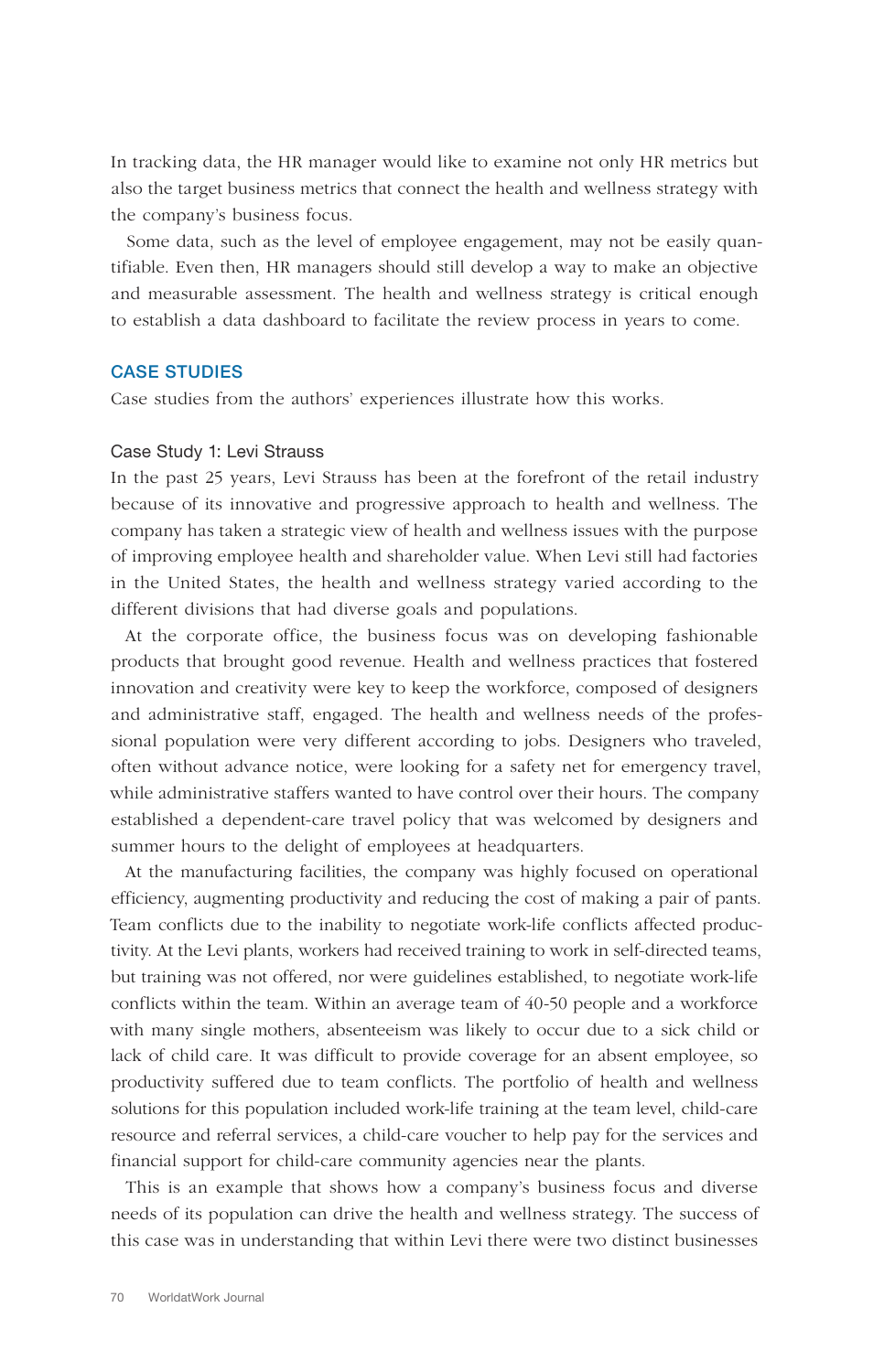In tracking data, the HR manager would like to examine not only HR metrics but also the target business metrics that connect the health and wellness strategy with the company's business focus.

Some data, such as the level of employee engagement, may not be easily quantifiable. Even then, HR managers should still develop a way to make an objective and measurable assessment. The health and wellness strategy is critical enough to establish a data dashboard to facilitate the review process in years to come.

### CASE STUDIES

Case studies from the authors' experiences illustrate how this works.

#### Case Study 1: Levi Strauss

In the past 25 years, Levi Strauss has been at the forefront of the retail industry because of its innovative and progressive approach to health and wellness. The company has taken a strategic view of health and wellness issues with the purpose of improving employee health and shareholder value. When Levi still had factories in the United States, the health and wellness strategy varied according to the different divisions that had diverse goals and populations.

At the corporate office, the business focus was on developing fashionable products that brought good revenue. Health and wellness practices that fostered innovation and creativity were key to keep the workforce, composed of designers and administrative staff, engaged. The health and wellness needs of the professional population were very different according to jobs. Designers who traveled, often without advance notice, were looking for a safety net for emergency travel, while administrative staffers wanted to have control over their hours. The company established a dependent-care travel policy that was welcomed by designers and summer hours to the delight of employees at headquarters.

At the manufacturing facilities, the company was highly focused on operational efficiency, augmenting productivity and reducing the cost of making a pair of pants. Team conflicts due to the inability to negotiate work-life conflicts affected productivity. At the Levi plants, workers had received training to work in self-directed teams, but training was not offered, nor were guidelines established, to negotiate work-life conflicts within the team. Within an average team of 40-50 people and a workforce with many single mothers, absenteeism was likely to occur due to a sick child or lack of child care. It was difficult to provide coverage for an absent employee, so productivity suffered due to team conflicts. The portfolio of health and wellness solutions for this population included work-life training at the team level, child-care resource and referral services, a child-care voucher to help pay for the services and financial support for child-care community agencies near the plants.

This is an example that shows how a company's business focus and diverse needs of its population can drive the health and wellness strategy. The success of this case was in understanding that within Levi there were two distinct businesses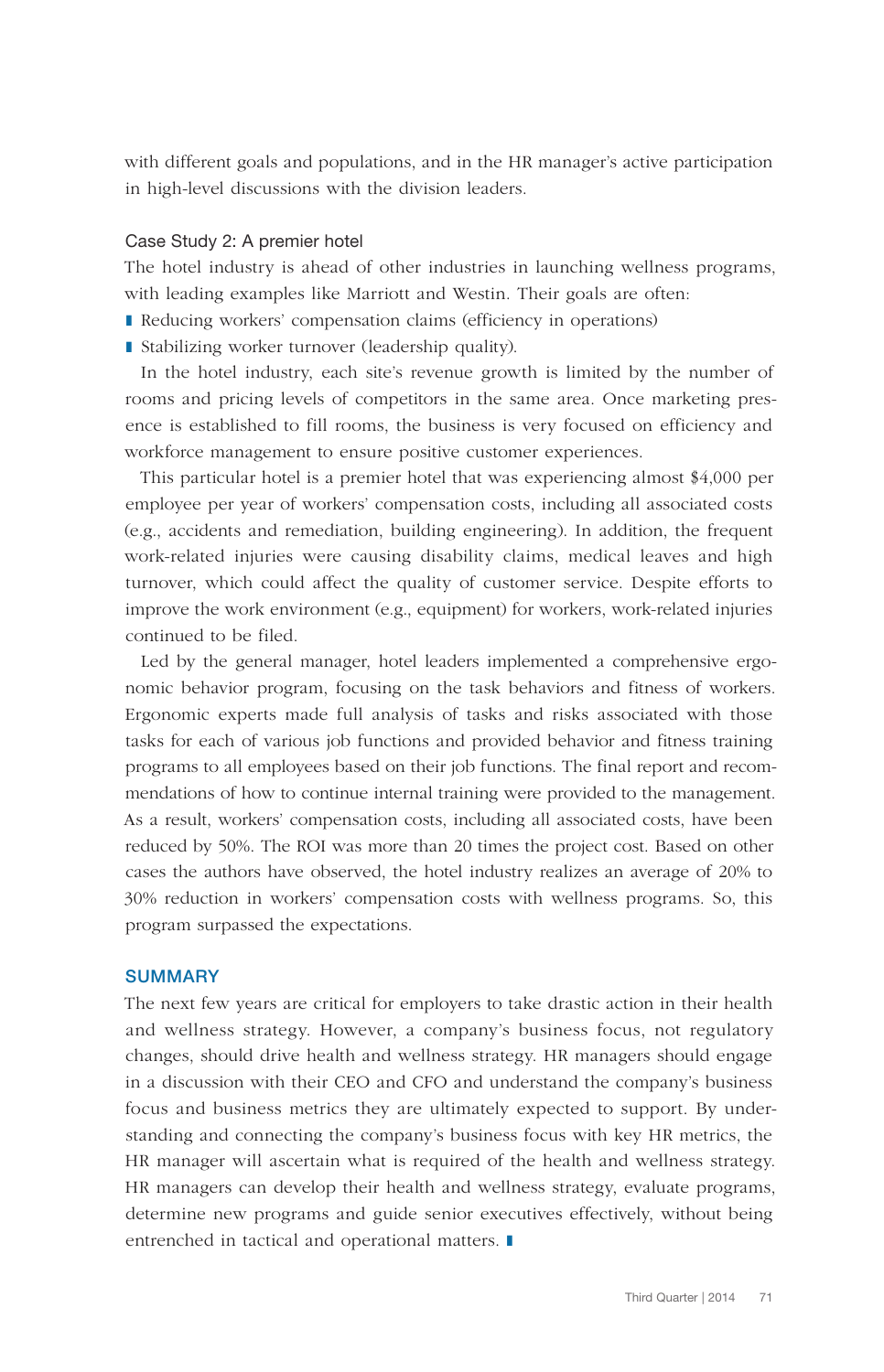with different goals and populations, and in the HR manager's active participation in high-level discussions with the division leaders.

#### Case Study 2: A premier hotel

The hotel industry is ahead of other industries in launching wellness programs, with leading examples like Marriott and Westin. Their goals are often:

- Reducing workers' compensation claims (efficiency in operations)
- Stabilizing worker turnover (leadership quality).

In the hotel industry, each site's revenue growth is limited by the number of rooms and pricing levels of competitors in the same area. Once marketing presence is established to fill rooms, the business is very focused on efficiency and workforce management to ensure positive customer experiences.

This particular hotel is a premier hotel that was experiencing almost \$4,000 per employee per year of workers' compensation costs, including all associated costs (e.g., accidents and remediation, building engineering). In addition, the frequent work-related injuries were causing disability claims, medical leaves and high turnover, which could affect the quality of customer service. Despite efforts to improve the work environment (e.g., equipment) for workers, work-related injuries continued to be filed.

Led by the general manager, hotel leaders implemented a comprehensive ergonomic behavior program, focusing on the task behaviors and fitness of workers. Ergonomic experts made full analysis of tasks and risks associated with those tasks for each of various job functions and provided behavior and fitness training programs to all employees based on their job functions. The final report and recommendations of how to continue internal training were provided to the management. As a result, workers' compensation costs, including all associated costs, have been reduced by 50%. The ROI was more than 20 times the project cost. Based on other cases the authors have observed, the hotel industry realizes an average of 20% to 30% reduction in workers' compensation costs with wellness programs. So, this program surpassed the expectations.

## **SUMMARY**

The next few years are critical for employers to take drastic action in their health and wellness strategy. However, a company's business focus, not regulatory changes, should drive health and wellness strategy. HR managers should engage in a discussion with their CEO and CFO and understand the company's business focus and business metrics they are ultimately expected to support. By understanding and connecting the company's business focus with key HR metrics, the HR manager will ascertain what is required of the health and wellness strategy. HR managers can develop their health and wellness strategy, evaluate programs, determine new programs and guide senior executives effectively, without being entrenched in tactical and operational matters. ❚